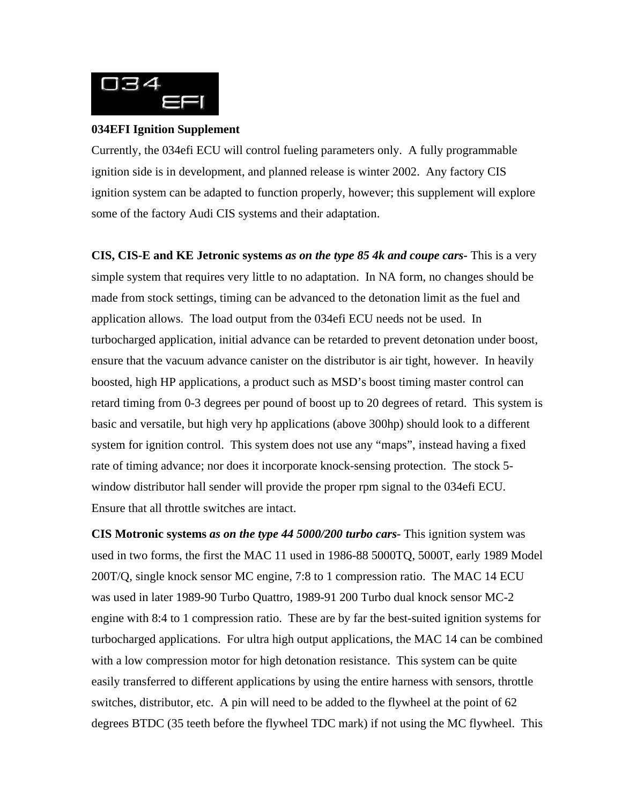

## **034EFI Ignition Supplement**

Currently, the 034efi ECU will control fueling parameters only. A fully programmable ignition side is in development, and planned release is winter 2002. Any factory CIS ignition system can be adapted to function properly, however; this supplement will explore some of the factory Audi CIS systems and their adaptation.

**CIS, CIS-E and KE Jetronic systems** *as on the type 85 4k and coupe cars-* This is a very simple system that requires very little to no adaptation. In NA form, no changes should be made from stock settings, timing can be advanced to the detonation limit as the fuel and application allows. The load output from the 034efi ECU needs not be used. In turbocharged application, initial advance can be retarded to prevent detonation under boost, ensure that the vacuum advance canister on the distributor is air tight, however. In heavily boosted, high HP applications, a product such as MSD's boost timing master control can retard timing from 0-3 degrees per pound of boost up to 20 degrees of retard. This system is basic and versatile, but high very hp applications (above 300hp) should look to a different system for ignition control. This system does not use any "maps", instead having a fixed rate of timing advance; nor does it incorporate knock-sensing protection. The stock 5 window distributor hall sender will provide the proper rpm signal to the 034efi ECU. Ensure that all throttle switches are intact.

**CIS Motronic systems** *as on the type 44 5000/200 turbo cars-* This ignition system was used in two forms, the first the MAC 11 used in 1986-88 5000TQ, 5000T, early 1989 Model 200T/Q, single knock sensor MC engine, 7:8 to 1 compression ratio. The MAC 14 ECU was used in later 1989-90 Turbo Quattro, 1989-91 200 Turbo dual knock sensor MC-2 engine with 8:4 to 1 compression ratio. These are by far the best-suited ignition systems for turbocharged applications. For ultra high output applications, the MAC 14 can be combined with a low compression motor for high detonation resistance. This system can be quite easily transferred to different applications by using the entire harness with sensors, throttle switches, distributor, etc. A pin will need to be added to the flywheel at the point of 62 degrees BTDC (35 teeth before the flywheel TDC mark) if not using the MC flywheel. This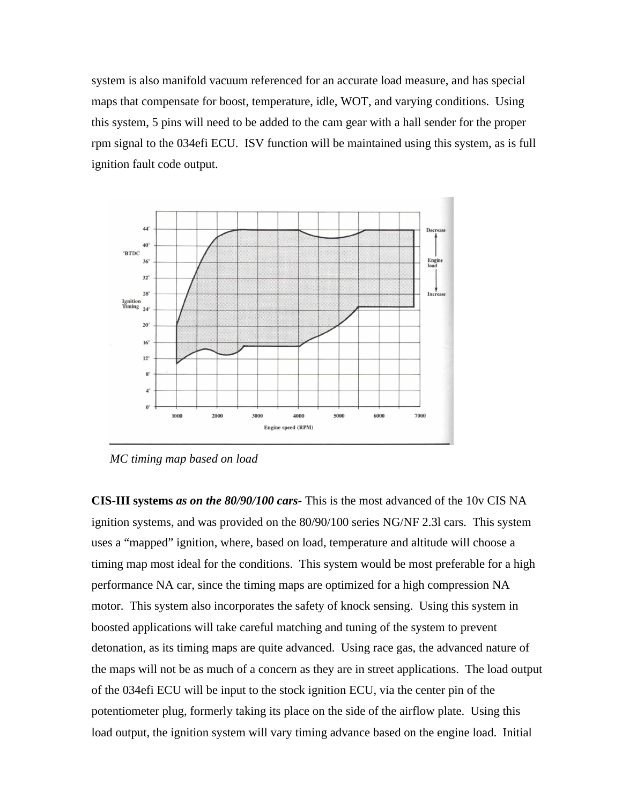system is also manifold vacuum referenced for an accurate load measure, and has special maps that compensate for boost, temperature, idle, WOT, and varying conditions. Using this system, 5 pins will need to be added to the cam gear with a hall sender for the proper rpm signal to the 034efi ECU. ISV function will be maintained using this system, as is full ignition fault code output.



*MC timing map based on load*

**CIS-III systems** *as on the 80/90/100 cars-* This is the most advanced of the 10v CIS NA ignition systems, and was provided on the 80/90/100 series NG/NF 2.3l cars. This system uses a "mapped" ignition, where, based on load, temperature and altitude will choose a timing map most ideal for the conditions. This system would be most preferable for a high performance NA car, since the timing maps are optimized for a high compression NA motor. This system also incorporates the safety of knock sensing. Using this system in boosted applications will take careful matching and tuning of the system to prevent detonation, as its timing maps are quite advanced. Using race gas, the advanced nature of the maps will not be as much of a concern as they are in street applications. The load output of the 034efi ECU will be input to the stock ignition ECU, via the center pin of the potentiometer plug, formerly taking its place on the side of the airflow plate. Using this load output, the ignition system will vary timing advance based on the engine load. Initial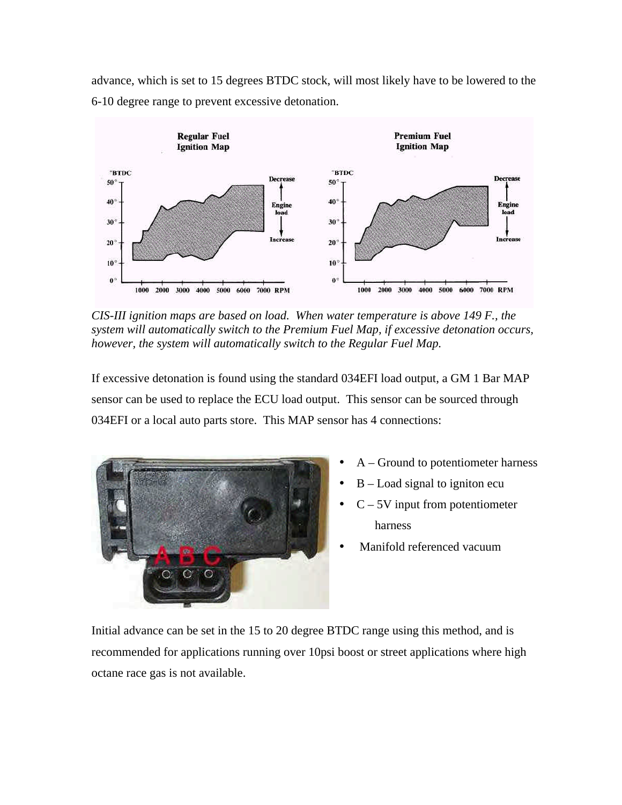advance, which is set to 15 degrees BTDC stock, will most likely have to be lowered to the 6-10 degree range to prevent excessive detonation.



*CIS-III ignition maps are based on load. When water temperature is above 149 F., the system will automatically switch to the Premium Fuel Map, if excessive detonation occurs, however, the system will automatically switch to the Regular Fuel Map.*

If excessive detonation is found using the standard 034EFI load output, a GM 1 Bar MAP sensor can be used to replace the ECU load output. This sensor can be sourced through 034EFI or a local auto parts store. This MAP sensor has 4 connections:



- A Ground to potentiometer harness
- $B -$ Load signal to igniton ecu
- $C 5V$  input from potentiometer harness
- Manifold referenced vacuum

Initial advance can be set in the 15 to 20 degree BTDC range using this method, and is recommended for applications running over 10psi boost or street applications where high octane race gas is not available.